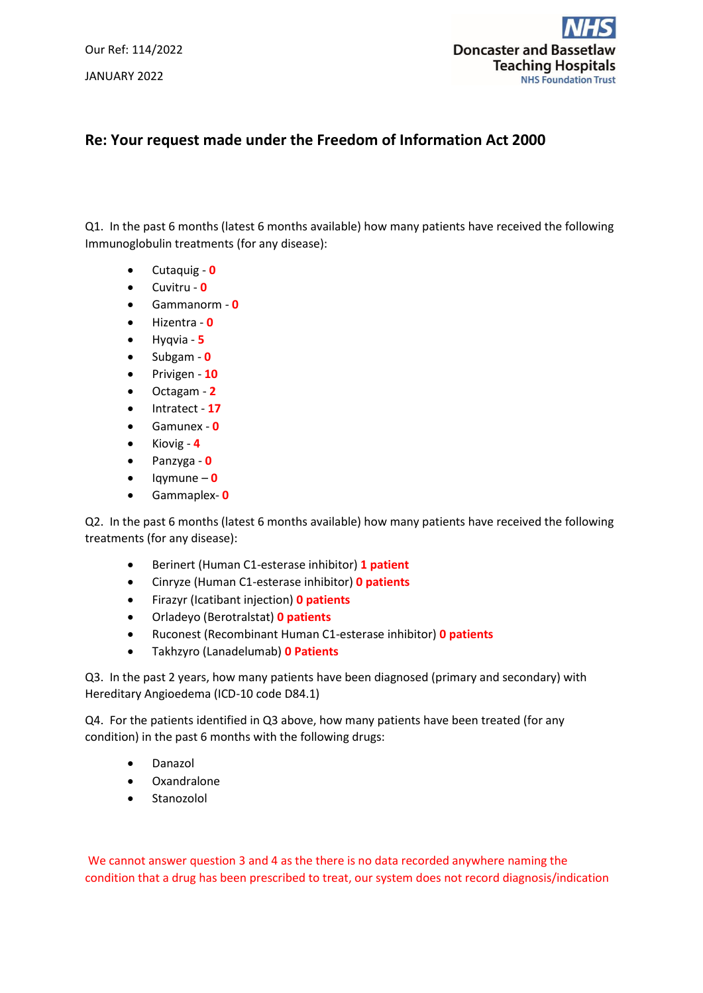Our Ref: 114/2022 JANUARY 2022



## **Re: Your request made under the Freedom of Information Act 2000**

Q1. In the past 6 months (latest 6 months available) how many patients have received the following Immunoglobulin treatments (for any disease):

- Cutaquig **0**
- Cuvitru **0**
- Gammanorm **0**
- Hizentra **0**
- Hyqvia **5**
- Subgam **0**
- Privigen **10**
- Octagam **2**
- Intratect **17**
- Gamunex **0**
- Kiovig **4**
- Panzyga **0**
- Iqymune **0**
- Gammaplex- **0**

Q2. In the past 6 months (latest 6 months available) how many patients have received the following treatments (for any disease):

- Berinert (Human C1-esterase inhibitor) **1 patient**
- Cinryze (Human C1-esterase inhibitor) **0 patients**
- Firazyr (Icatibant injection) **0 patients**
- Orladeyo (Berotralstat) **0 patients**
- Ruconest (Recombinant Human C1-esterase inhibitor) **0 patients**
- Takhzyro (Lanadelumab) **0 Patients**

Q3. In the past 2 years, how many patients have been diagnosed (primary and secondary) with Hereditary Angioedema (ICD-10 code D84.1)

Q4. For the patients identified in Q3 above, how many patients have been treated (for any condition) in the past 6 months with the following drugs:

- Danazol
- Oxandralone
- Stanozolol

We cannot answer question 3 and 4 as the there is no data recorded anywhere naming the condition that a drug has been prescribed to treat, our system does not record diagnosis/indication